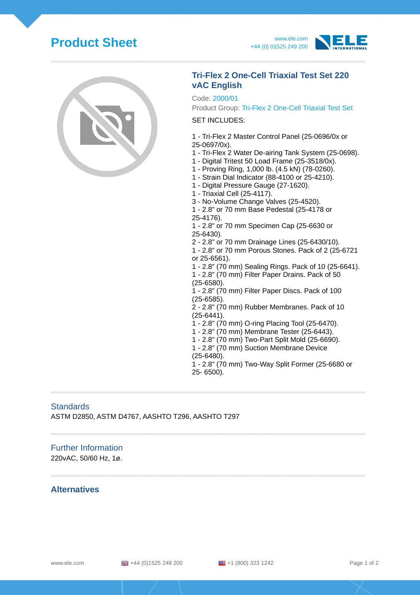# **Product Sheet** www.ele.com





# **Tri-Flex 2 One-Cell Triaxial Test Set 220 vAC English**

#### Code: 2000/01

Product Group: Tri-Flex 2 One-Cell Triaxial Test Set

#### SET INCLUDES:

- 1 Tri-Flex 2 Master Control Panel (25-0696/0x or 25-0697/0x).
	-
- 1 Tri-Flex 2 Water De-airing Tank System (25-0698).
- 1 Digital Tritest 50 Load Frame (25-3518/0x).
- 1 Proving Ring, 1,000 lb. (4.5 kN) (78-0260).
- 1 Strain Dial Indicator (88-4100 or 25-4210).
- 1 Digital Pressure Gauge (27-1620).
- 1 Triaxial Cell (25-4117).
- 3 No-Volume Change Valves (25-4520).

1 - 2.8" or 70 mm Base Pedestal (25-4178 or 25-4176).

1 - 2.8" or 70 mm Specimen Cap (25-6630 or 25-6430).

- 2 2.8" or 70 mm Drainage Lines (25-6430/10).
- 1 2.8" or 70 mm Porous Stones. Pack of 2 (25-6721 or 25-6561).
- 1 2.8" (70 mm) Sealing Rings. Pack of 10 (25-6641).
- 1 2.8" (70 mm) Filter Paper Drains. Pack of 50 (25-6580).
- 1 2.8" (70 mm) Filter Paper Discs. Pack of 100 (25-6585).
- 2 2.8" (70 mm) Rubber Membranes. Pack of 10 (25-6441).
- 1 2.8" (70 mm) O-ring Placing Tool (25-6470).
- 1 2.8" (70 mm) Membrane Tester (25-6443).
- 1 2.8" (70 mm) Two-Part Split Mold (25-6690).
- 1 2.8" (70 mm) Suction Membrane Device (25-6480).
- 1 2.8" (70 mm) Two-Way Split Former (25-6680 or 25- 6500).

# **Standards**

ASTM D2850, ASTM D4767, AASHTO T296, AASHTO T297

### Further Information

220vAC, 50/60 Hz, 1ø.

#### **Alternatives**